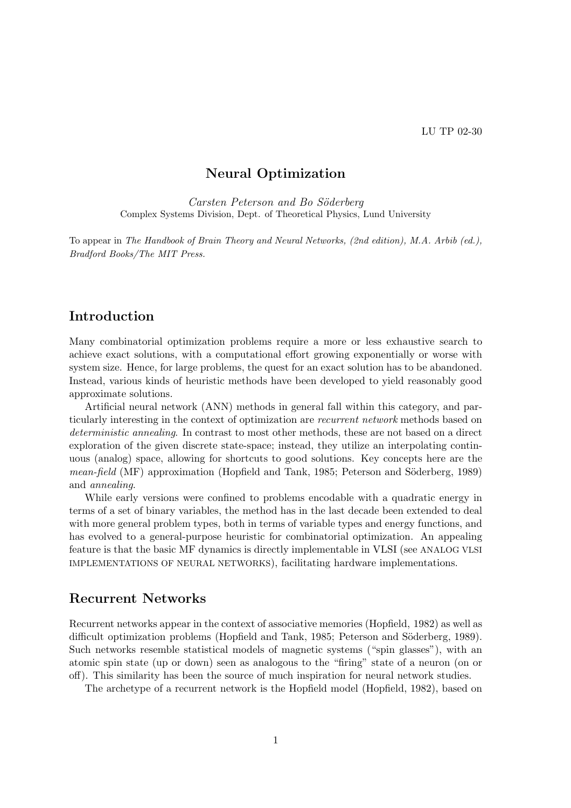# Neural Optimization

Carsten Peterson and Bo Söderberg Complex Systems Division, Dept. of Theoretical Physics, Lund University

To appear in The Handbook of Brain Theory and Neural Networks, (2nd edition), M.A. Arbib (ed.), Bradford Books/The MIT Press.

## Introduction

Many combinatorial optimization problems require a more or less exhaustive search to achieve exact solutions, with a computational effort growing exponentially or worse with system size. Hence, for large problems, the quest for an exact solution has to be abandoned. Instead, various kinds of heuristic methods have been developed to yield reasonably good approximate solutions.

Artificial neural network (ANN) methods in general fall within this category, and particularly interesting in the context of optimization are recurrent network methods based on deterministic annealing. In contrast to most other methods, these are not based on a direct exploration of the given discrete state-space; instead, they utilize an interpolating continuous (analog) space, allowing for shortcuts to good solutions. Key concepts here are the mean-field (MF) approximation (Hopfield and Tank, 1985; Peterson and Söderberg, 1989) and annealing.

While early versions were confined to problems encodable with a quadratic energy in terms of a set of binary variables, the method has in the last decade been extended to deal with more general problem types, both in terms of variable types and energy functions, and has evolved to a general-purpose heuristic for combinatorial optimization. An appealing feature is that the basic MF dynamics is directly implementable in VLSI (see ANALOG VLSI IMPLEMENTATIONS OF NEURAL NETWORKS), facilitating hardware implementations.

### Recurrent Networks

Recurrent networks appear in the context of associative memories (Hopfield, 1982) as well as difficult optimization problems (Hopfield and Tank, 1985; Peterson and Söderberg, 1989). Such networks resemble statistical models of magnetic systems ("spin glasses"), with an atomic spin state (up or down) seen as analogous to the "firing" state of a neuron (on or off). This similarity has been the source of much inspiration for neural network studies.

The archetype of a recurrent network is the Hopfield model (Hopfield, 1982), based on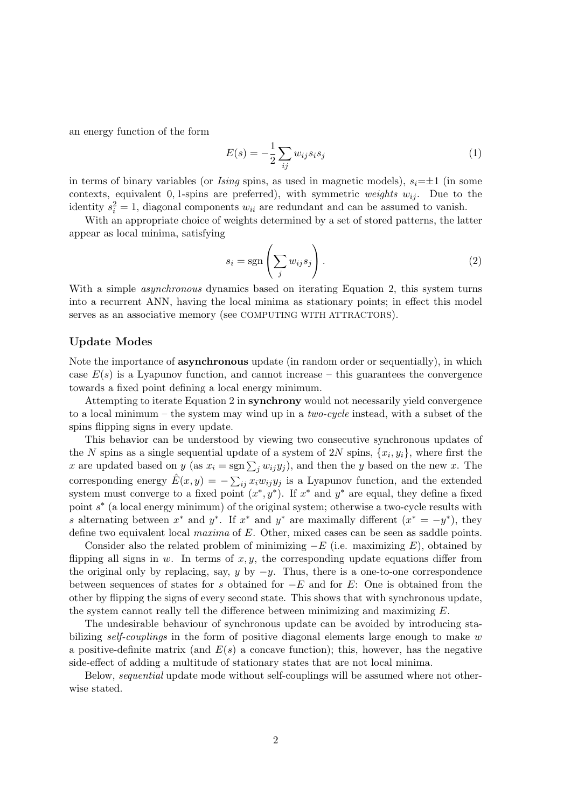an energy function of the form

$$
E(s) = -\frac{1}{2} \sum_{ij} w_{ij} s_i s_j \tag{1}
$$

in terms of binary variables (or *Ising* spins, as used in magnetic models),  $s_i=\pm 1$  (in some contexts, equivalent 0, 1-spins are preferred), with symmetric weights  $w_{ij}$ . Due to the identity  $s_i^2 = 1$ , diagonal components  $w_{ii}$  are redundant and can be assumed to vanish.

With an appropriate choice of weights determined by a set of stored patterns, the latter appear as local minima, satisfying

$$
s_i = \text{sgn}\left(\sum_j w_{ij} s_j\right). \tag{2}
$$

With a simple *asynchronous* dynamics based on iterating Equation 2, this system turns into a recurrent ANN, having the local minima as stationary points; in effect this model serves as an associative memory (see COMPUTING WITH ATTRACTORS).

### Update Modes

Note the importance of asynchronous update (in random order or sequentially), in which case  $E(s)$  is a Lyapunov function, and cannot increase – this guarantees the convergence towards a fixed point defining a local energy minimum.

Attempting to iterate Equation 2 in synchrony would not necessarily yield convergence to a local minimum – the system may wind up in a *two-cycle* instead, with a subset of the spins flipping signs in every update.

This behavior can be understood by viewing two consecutive synchronous updates of the N spins as a single sequential update of a system of 2N spins,  $\{x_i, y_i\}$ , where first the the *i* spins as a single sequencial update or a system of 2*x* spins,  $\{x_i, y_i\}$ , where first the <br>*x* are updated based on *y* (as  $x_i = \text{sgn} \sum_j w_{ij} y_j$ ), and then the *y* based on the new *x*. The corresponding energy  $\hat{E}(x,y) = -\sum_{ij} x_i w_{ij} y_j$  is a Lyapunov function, and the extended system must converge to a fixed point  $(x^*, y^*)$ . If  $x^*$  and  $y^*$  are equal, they define a fixed point  $s^*$  (a local energy minimum) of the original system; otherwise a two-cycle results with s alternating between  $x^*$  and  $y^*$ . If  $x^*$  and  $y^*$  are maximally different  $(x^* = -y^*)$ , they define two equivalent local maxima of E. Other, mixed cases can be seen as saddle points.

Consider also the related problem of minimizing  $-E$  (i.e. maximizing E), obtained by flipping all signs in  $w$ . In terms of  $x, y$ , the corresponding update equations differ from the original only by replacing, say, y by  $-y$ . Thus, there is a one-to-one correspondence between sequences of states for s obtained for  $-E$  and for E: One is obtained from the other by flipping the signs of every second state. This shows that with synchronous update, the system cannot really tell the difference between minimizing and maximizing E.

The undesirable behaviour of synchronous update can be avoided by introducing stabilizing self-couplings in the form of positive diagonal elements large enough to make w a positive-definite matrix (and  $E(s)$  a concave function); this, however, has the negative side-effect of adding a multitude of stationary states that are not local minima.

Below, sequential update mode without self-couplings will be assumed where not otherwise stated.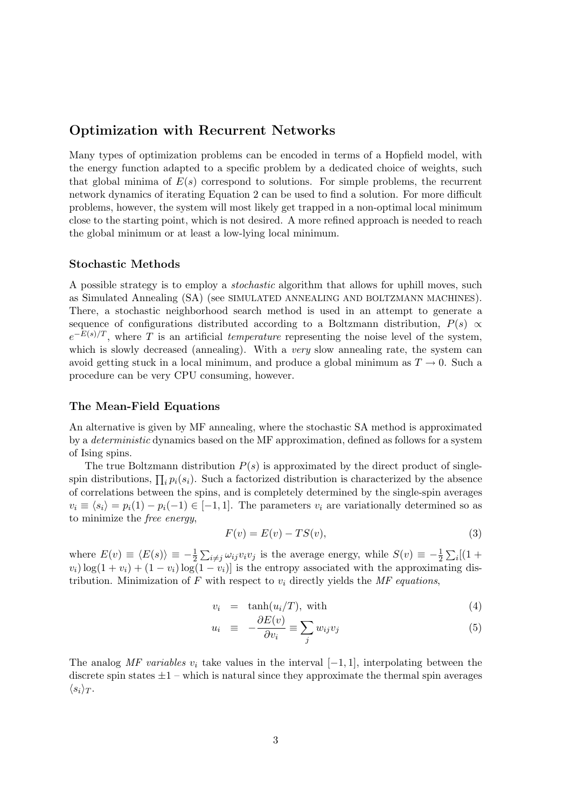## Optimization with Recurrent Networks

Many types of optimization problems can be encoded in terms of a Hopfield model, with the energy function adapted to a specific problem by a dedicated choice of weights, such that global minima of  $E(s)$  correspond to solutions. For simple problems, the recurrent network dynamics of iterating Equation 2 can be used to find a solution. For more difficult problems, however, the system will most likely get trapped in a non-optimal local minimum close to the starting point, which is not desired. A more refined approach is needed to reach the global minimum or at least a low-lying local minimum.

### Stochastic Methods

A possible strategy is to employ a stochastic algorithm that allows for uphill moves, such as Simulated Annealing (SA) (see SIMULATED ANNEALING AND BOLTZMANN MACHINES). There, a stochastic neighborhood search method is used in an attempt to generate a sequence of configurations distributed according to a Boltzmann distribution,  $P(s) \propto$  $e^{-E(s)/T}$ , where T is an artificial temperature representing the noise level of the system, which is slowly decreased (annealing). With a *very* slow annealing rate, the system can avoid getting stuck in a local minimum, and produce a global minimum as  $T \to 0$ . Such a procedure can be very CPU consuming, however.

### The Mean-Field Equations

An alternative is given by MF annealing, where the stochastic SA method is approximated by a deterministic dynamics based on the MF approximation, defined as follows for a system of Ising spins.

The true Boltzmann distribution  $P(s)$  is approximated by the direct product of singlespin distributions,  $\prod_i p_i(s_i)$ . Such a factorized distribution is characterized by the absence of correlations between the spins, and is completely determined by the single-spin averages  $v_i \equiv \langle s_i \rangle = p_i(1) - p_i(-1) \in [-1, 1]$ . The parameters  $v_i$  are variationally determined so as to minimize the free energy,

$$
F(v) = E(v) - TS(v),\tag{3}
$$

where  $E(v) \equiv \langle E(s) \rangle \equiv -\frac{1}{2}$  $\sum_{i \neq j} \omega_{ij} v_i v_j$  is the average energy, while  $S(v) \equiv -\frac{1}{2}$  $\overline{ }$  $_{i}[(1 +$  $v_i)$  log(1 +  $v_i$ ) + (1 -  $v_i$ ) log(1 -  $v_i$ )] is the entropy associated with the approximating distribution. Minimization of  $F$  with respect to  $v_i$  directly yields the MF equations,

$$
v_i = \tanh(u_i/T), \text{ with} \tag{4}
$$

$$
u_i \equiv -\frac{\partial E(v)}{\partial v_i} \equiv \sum_j w_{ij} v_j \tag{5}
$$

The analog MF variables  $v_i$  take values in the interval  $[-1, 1]$ , interpolating between the discrete spin states  $\pm 1$  – which is natural since they approximate the thermal spin averages  $\langle s_i \rangle_T$ .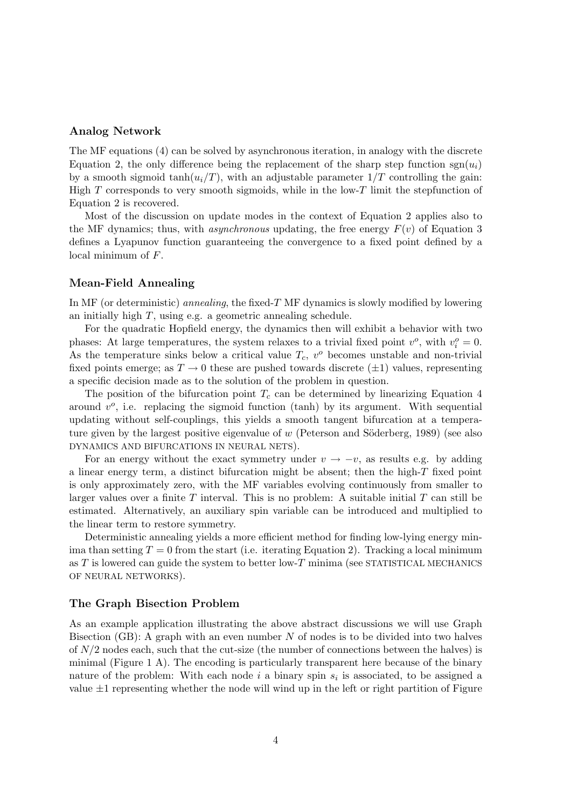### Analog Network

The MF equations (4) can be solved by asynchronous iteration, in analogy with the discrete Equation 2, the only difference being the replacement of the sharp step function  $sgn(u_i)$ by a smooth sigmoid tanh $(u_i/T)$ , with an adjustable parameter  $1/T$  controlling the gain: High  $T$  corresponds to very smooth sigmoids, while in the low- $T$  limit the stepfunction of Equation 2 is recovered.

Most of the discussion on update modes in the context of Equation 2 applies also to the MF dynamics; thus, with *asynchronous* updating, the free energy  $F(v)$  of Equation 3 defines a Lyapunov function guaranteeing the convergence to a fixed point defined by a local minimum of F.

#### Mean-Field Annealing

In MF (or deterministic) annealing, the fixed-T MF dynamics is slowly modified by lowering an initially high T, using e.g. a geometric annealing schedule.

For the quadratic Hopfield energy, the dynamics then will exhibit a behavior with two phases: At large temperatures, the system relaxes to a trivial fixed point  $v^o$ , with  $v_i^o = 0$ . As the temperature sinks below a critical value  $T_c$ ,  $v^o$  becomes unstable and non-trivial fixed points emerge; as  $T \to 0$  these are pushed towards discrete ( $\pm 1$ ) values, representing a specific decision made as to the solution of the problem in question.

The position of the bifurcation point  $T_c$  can be determined by linearizing Equation 4 around  $v^o$ , i.e. replacing the sigmoid function (tanh) by its argument. With sequential updating without self-couplings, this yields a smooth tangent bifurcation at a temperature given by the largest positive eigenvalue of  $w$  (Peterson and Söderberg, 1989) (see also DYNAMICS AND BIFURCATIONS IN NEURAL NETS).

For an energy without the exact symmetry under  $v \to -v$ , as results e.g. by adding a linear energy term, a distinct bifurcation might be absent; then the high-T fixed point is only approximately zero, with the MF variables evolving continuously from smaller to larger values over a finite  $T$  interval. This is no problem: A suitable initial  $T$  can still be estimated. Alternatively, an auxiliary spin variable can be introduced and multiplied to the linear term to restore symmetry.

Deterministic annealing yields a more efficient method for finding low-lying energy minima than setting  $T = 0$  from the start (i.e. iterating Equation 2). Tracking a local minimum as  $T$  is lowered can guide the system to better low- $T$  minima (see STATISTICAL MECHANICS OF NEURAL NETWORKS).

#### The Graph Bisection Problem

As an example application illustrating the above abstract discussions we will use Graph Bisection  $(GB)$ : A graph with an even number N of nodes is to be divided into two halves of  $N/2$  nodes each, such that the cut-size (the number of connections between the halves) is minimal (Figure 1 A). The encoding is particularly transparent here because of the binary nature of the problem: With each node  $i$  a binary spin  $s_i$  is associated, to be assigned a value  $\pm 1$  representing whether the node will wind up in the left or right partition of Figure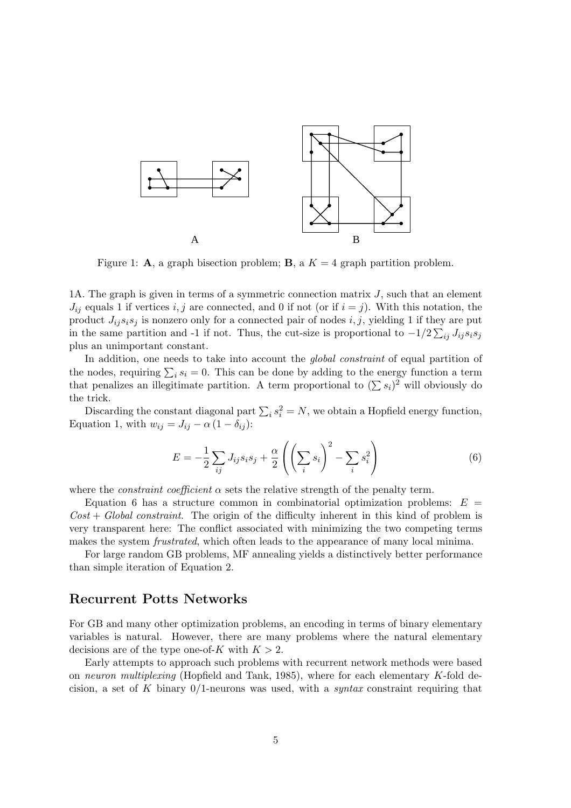

Figure 1: **A**, a graph bisection problem; **B**, a  $K = 4$  graph partition problem.

1A. The graph is given in terms of a symmetric connection matrix  $J$ , such that an element  $J_{ij}$  equals 1 if vertices i, j are connected, and 0 if not (or if  $i = j$ ). With this notation, the product  $J_{ij}s_is_j$  is nonzero only for a connected pair of nodes i, j, yielding 1 if they are put in the same partition and -1 if not. Thus, the cut-size is proportional to  $-1/2\sum_{ij} J_{ij} s_i s_j$ plus an unimportant constant.

In addition, one needs to take into account the *global constraint* of equal partition of In addition, one needs to take mo account the *grout constraint* of equal partition of the nodes, requiring  $\sum_i s_i = 0$ . This can be done by adding to the energy function a term that penalizes an illegitimate partition. A term proportional to  $(\sum s_i)^2$  will obviously do<br>that penalizes an illegitimate partition. A term proportional to  $(\sum s_i)^2$  will obviously do the trick.

Discarding the constant diagonal part  $\sum_i s_i^2 = N$ , we obtain a Hopfield energy function, Equation 1, with  $w_{ij} = J_{ij} - \alpha (1 - \delta_{ij})$ :

$$
E = -\frac{1}{2} \sum_{ij} J_{ij} s_i s_j + \frac{\alpha}{2} \left( \left( \sum_i s_i \right)^2 - \sum_i s_i^2 \right) \tag{6}
$$

where the *constraint coefficient*  $\alpha$  sets the relative strength of the penalty term.

Equation 6 has a structure common in combinatorial optimization problems:  $E =$  $Cost + Global constraint$ . The origin of the difficulty inherent in this kind of problem is very transparent here: The conflict associated with minimizing the two competing terms makes the system *frustrated*, which often leads to the appearance of many local minima.

For large random GB problems, MF annealing yields a distinctively better performance than simple iteration of Equation 2.

## Recurrent Potts Networks

For GB and many other optimization problems, an encoding in terms of binary elementary variables is natural. However, there are many problems where the natural elementary decisions are of the type one-of-K with  $K > 2$ .

Early attempts to approach such problems with recurrent network methods were based on neuron multiplexing (Hopfield and Tank, 1985), where for each elementary  $K$ -fold decision, a set of K binary  $0/1$ -neurons was used, with a *syntax* constraint requiring that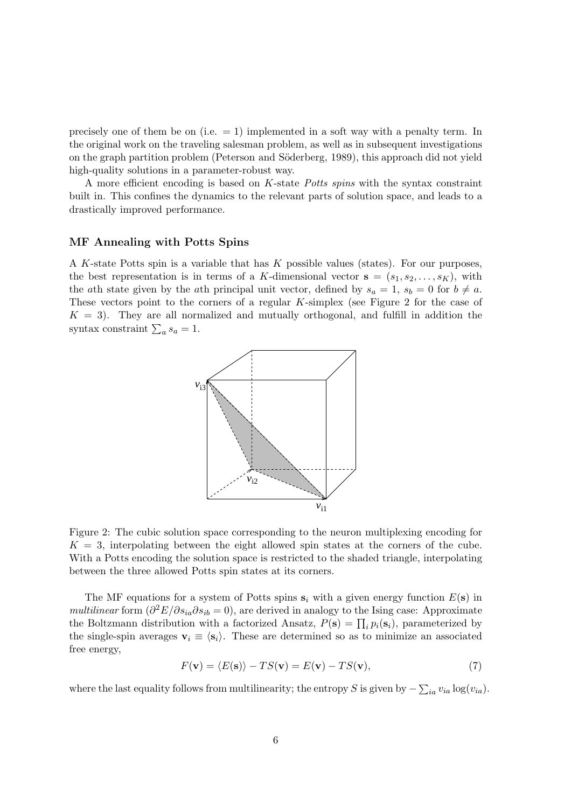precisely one of them be on (i.e.  $= 1$ ) implemented in a soft way with a penalty term. In the original work on the traveling salesman problem, as well as in subsequent investigations on the graph partition problem (Peterson and Söderberg, 1989), this approach did not yield high-quality solutions in a parameter-robust way.

A more efficient encoding is based on K-state Potts spins with the syntax constraint built in. This confines the dynamics to the relevant parts of solution space, and leads to a drastically improved performance.

### MF Annealing with Potts Spins

A K-state Potts spin is a variable that has K possible values (states). For our purposes, the best representation is in terms of a K-dimensional vector  $\mathbf{s} = (s_1, s_2, \ldots, s_K)$ , with the ath state given by the ath principal unit vector, defined by  $s_a = 1$ ,  $s_b = 0$  for  $b \neq a$ . These vectors point to the corners of a regular K-simplex (see Figure 2 for the case of  $K = 3$ . They are all normalized and mutually orthogonal, and fulfill in addition the syntax constraint  $\sum_a s_a = 1$ .



Figure 2: The cubic solution space corresponding to the neuron multiplexing encoding for  $K = 3$ , interpolating between the eight allowed spin states at the corners of the cube. With a Potts encoding the solution space is restricted to the shaded triangle, interpolating between the three allowed Potts spin states at its corners.

The MF equations for a system of Potts spins  $s_i$  with a given energy function  $E(s)$  in multilinear form  $\left(\frac{\partial^2 E}{\partial s_{ia}\partial s_{ib}}=0\right)$ , are derived in analogy to the Ising case: Approximate *the Boltzmann distribution with a factorized Ansatz,*  $P(\mathbf{s}) = \prod_i p_i(\mathbf{s}_i)$ , parameterized by the single-spin averages  $\mathbf{v}_i \equiv \langle \mathbf{s}_i \rangle$ . These are determined so as to minimize an associated free energy,

$$
F(\mathbf{v}) = \langle E(\mathbf{s}) \rangle - TS(\mathbf{v}) = E(\mathbf{v}) - TS(\mathbf{v}),\tag{7}
$$

where the last equality follows from multilinearity; the entropy S is given by  $-\sum_{ia} v_{ia} \log(v_{ia})$ .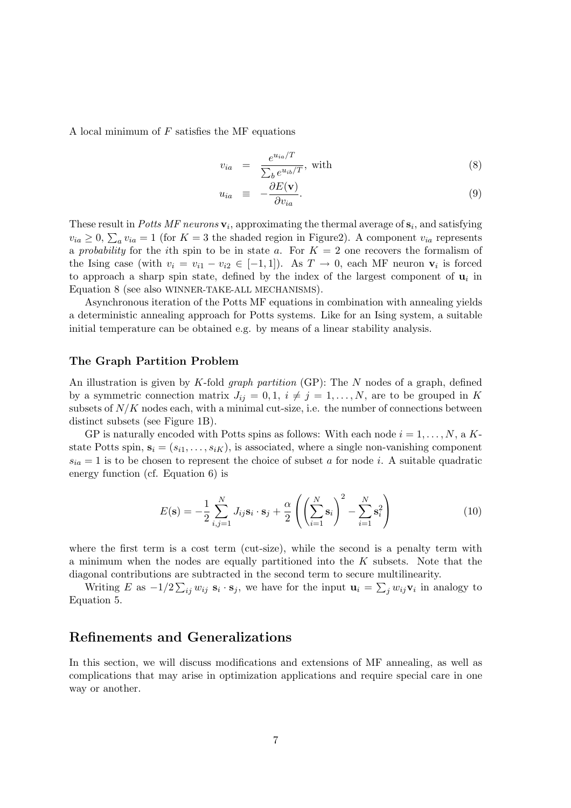A local minimum of  $F$  satisfies the MF equations

$$
v_{ia} = \frac{e^{u_{ia}/T}}{\sum_b e^{u_{ib}/T}}, \text{ with}
$$
 (8)

$$
u_{ia} \equiv -\frac{\partial E(\mathbf{v})}{\partial v_{ia}}.
$$
\n(9)

These result in *Potts MF neurons*  $\mathbf{v}_i$ , approximating the thermal average of  $\mathbf{s}_i$ , and satisfying These result in Total MT heatons  $\mathbf{v}_i$ , approximating the thermal average of  $\mathbf{s}_i$ , and satisfying  $v_{ia} \ge 0$ ,  $\sum_a v_{ia} = 1$  (for  $K = 3$  the shaded region in Figure2). A component  $v_{ia}$  represents a probability for the ith spin to be in state a. For  $K = 2$  one recovers the formalism of the Ising case (with  $v_i = v_{i1} - v_{i2} \in [-1,1]$ ). As  $T \to 0$ , each MF neuron  $v_i$  is forced to approach a sharp spin state, defined by the index of the largest component of  $\mathbf{u}_i$  in Equation 8 (see also WINNER-TAKE-ALL MECHANISMS).

Asynchronous iteration of the Potts MF equations in combination with annealing yields a deterministic annealing approach for Potts systems. Like for an Ising system, a suitable initial temperature can be obtained e.g. by means of a linear stability analysis.

### The Graph Partition Problem

An illustration is given by K-fold *graph partition* (GP): The  $N$  nodes of a graph, defined by a symmetric connection matrix  $J_{ij} = 0, 1, i \neq j = 1, ..., N$ , are to be grouped in K subsets of  $N/K$  nodes each, with a minimal cut-size, i.e. the number of connections between distinct subsets (see Figure 1B).

GP is naturally encoded with Potts spins as follows: With each node  $i = 1, \ldots, N$ , a Kstate Potts spin,  $\mathbf{s}_i = (s_{i1}, \ldots, s_{iK})$ , is associated, where a single non-vanishing component  $s_{ia} = 1$  is to be chosen to represent the choice of subset a for node i. A suitable quadratic energy function (cf. Equation 6) is

$$
E(\mathbf{s}) = -\frac{1}{2} \sum_{i,j=1}^{N} J_{ij} \mathbf{s}_i \cdot \mathbf{s}_j + \frac{\alpha}{2} \left( \left( \sum_{i=1}^{N} \mathbf{s}_i \right)^2 - \sum_{i=1}^{N} \mathbf{s}_i^2 \right)
$$
(10)

where the first term is a cost term (cut-size), while the second is a penalty term with a minimum when the nodes are equally partitioned into the K subsets. Note that the diagonal contributions are subtracted in the second term to secure multilinearity.

Writing E as  $-1/2\sum_{ij}w_{ij}$  s<sub>i</sub>  $\cdot$  s<sub>j</sub>, we have for the input  $\mathbf{u}_i = \sum_j w_{ij} \mathbf{v}_i$  in analogy to Equation 5.

## Refinements and Generalizations

In this section, we will discuss modifications and extensions of MF annealing, as well as complications that may arise in optimization applications and require special care in one way or another.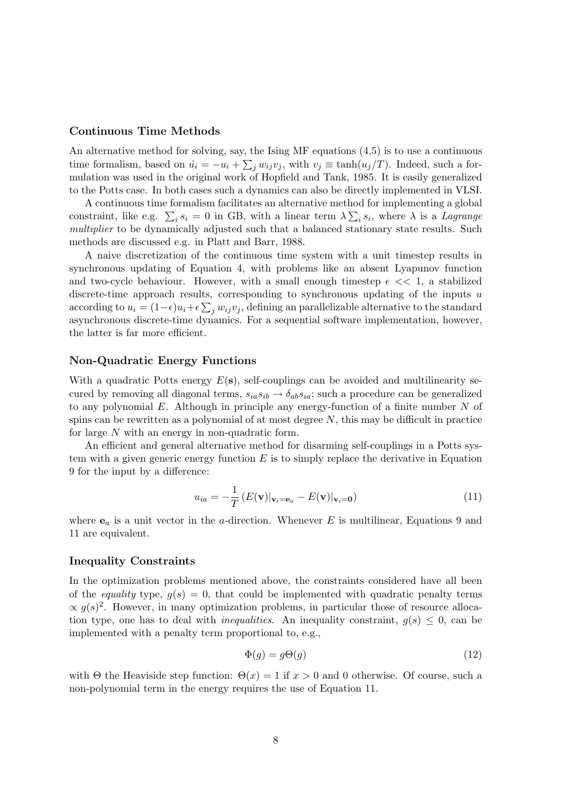### Continuous Time Methods

An alternative method for solving, say, the Ising MF equations  $(4,5)$  is to use a continuous time formalism, based on  $\dot{u}_i = -u_i + \sum_j w_{ij}v_j$ , with  $v_j \equiv \tanh(u_j/T)$ . Indeed, such a formulation was used in the original work of Hopfield and Tank, 1985. It is easily generalized to the Potts case. In both cases such a dynamics can also be directly implemented in VLSI.

A continuous time formalism facilitates an alternative method for implementing a global constraint, like e.g.  $\sum_i s_i = 0$  in GB, with a linear term  $\lambda \sum_i s_i$ , where  $\lambda$  is a *Lagrange* multiplier to be dynamically adjusted such that a balanced stationary state results. Such methods are discussed e.g. in Platt and Barr, 1988.

A naive discretization of the continuous time system with a unit timestep results in synchronous updating of Equation 4, with problems like an absent Lyapunov function and two-cycle behaviour. However, with a small enough timestep  $\epsilon \ll 1$ , a stabilized discrete-time approach results, corresponding to synchronous updating of the inputs u according to  $u_i = (1 - \epsilon)u_i + \epsilon \sum_j w_{ij}v_j$ , defining an parallelizable alternative to the standard asynchronous discrete-time dynamics. For a sequential software implementation, however, the latter is far more efficient.

#### Non-Quadratic Energy Functions

With a quadratic Potts energy  $E(s)$ , self-couplings can be avoided and multilinearity secured by removing all diagonal terms,  $s_{ia}s_{ib} \rightarrow \delta_{ab}s_{ia}$ ; such a procedure can be generalized to any polynomial  $E$ . Although in principle any energy-function of a finite number  $N$  of spins can be rewritten as a polynomial of at most degree  $N$ , this may be difficult in practice for large N with an energy in non-quadratic form.

An efficient and general alternative method for disarming self-couplings in a Potts system with a given generic energy function  $E$  is to simply replace the derivative in Equation 9 for the input by a difference:

$$
u_{ia} = -\frac{1}{T} \left( E(\mathbf{v}) |_{\mathbf{v}_i = \mathbf{e}_a} - E(\mathbf{v}) |_{\mathbf{v}_i = \mathbf{0}} \right) \tag{11}
$$

where  $\mathbf{e}_a$  is a unit vector in the *a*-direction. Whenever E is multilinear, Equations 9 and 11 are equivalent.

#### Inequality Constraints

In the optimization problems mentioned above, the constraints considered have all been of the *equality* type,  $q(s) = 0$ , that could be implemented with quadratic penalty terms  $\propto g(s)^2$ . However, in many optimization problems, in particular those of resource allocation type, one has to deal with *inequalities*. An inequality constraint,  $g(s) \leq 0$ , can be implemented with a penalty term proportional to, e.g.,

$$
\Phi(g) = g\Theta(g) \tag{12}
$$

with  $\Theta$  the Heaviside step function:  $\Theta(x) = 1$  if  $x > 0$  and 0 otherwise. Of course, such a non-polynomial term in the energy requires the use of Equation 11.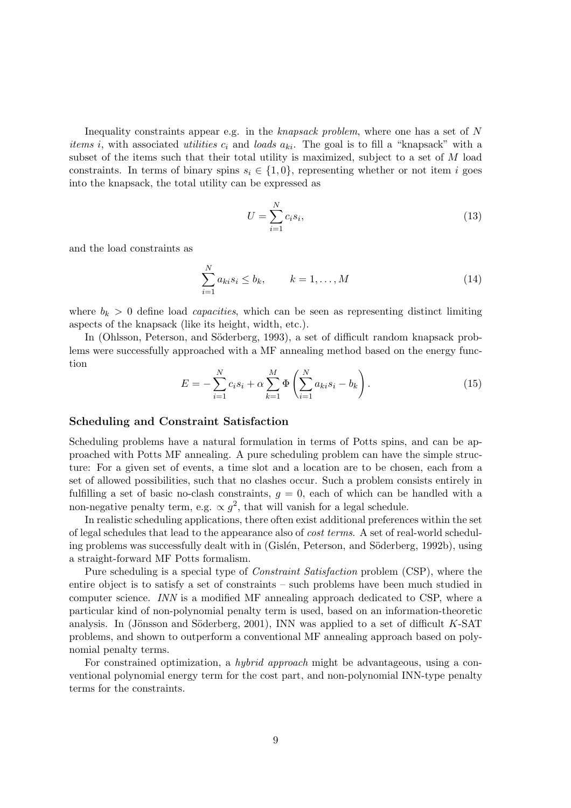Inequality constraints appear e.g. in the knapsack problem, where one has a set of N *items i*, with associated *utilities*  $c_i$  and *loads*  $a_{ki}$ . The goal is to fill a "knapsack" with a subset of the items such that their total utility is maximized, subject to a set of M load constraints. In terms of binary spins  $s_i \in \{1,0\}$ , representing whether or not item i goes into the knapsack, the total utility can be expressed as

$$
U = \sum_{i=1}^{N} c_i s_i,\tag{13}
$$

and the load constraints as

$$
\sum_{i=1}^{N} a_{ki} s_i \le b_k, \qquad k = 1, ..., M
$$
\n(14)

where  $b_k > 0$  define load *capacities*, which can be seen as representing distinct limiting aspects of the knapsack (like its height, width, etc.).

In (Ohlsson, Peterson, and Söderberg, 1993), a set of difficult random knapsack problems were successfully approached with a MF annealing method based on the energy function !<br>}

$$
E = -\sum_{i=1}^{N} c_i s_i + \alpha \sum_{k=1}^{M} \Phi \left( \sum_{i=1}^{N} a_{ki} s_i - b_k \right).
$$
 (15)

#### Scheduling and Constraint Satisfaction

Scheduling problems have a natural formulation in terms of Potts spins, and can be approached with Potts MF annealing. A pure scheduling problem can have the simple structure: For a given set of events, a time slot and a location are to be chosen, each from a set of allowed possibilities, such that no clashes occur. Such a problem consists entirely in fulfilling a set of basic no-clash constraints,  $q = 0$ , each of which can be handled with a non-negative penalty term, e.g.  $\propto g^2$ , that will vanish for a legal schedule.

In realistic scheduling applications, there often exist additional preferences within the set of legal schedules that lead to the appearance also of cost terms. A set of real-world scheduling problems was successfully dealt with in (Gislén, Peterson, and Söderberg, 1992b), using a straight-forward MF Potts formalism.

Pure scheduling is a special type of Constraint Satisfaction problem (CSP), where the entire object is to satisfy a set of constraints – such problems have been much studied in computer science. INN is a modified MF annealing approach dedicated to CSP, where a particular kind of non-polynomial penalty term is used, based on an information-theoretic analysis. In (Jönsson and Söderberg, 2001), INN was applied to a set of difficult  $K$ -SAT problems, and shown to outperform a conventional MF annealing approach based on polynomial penalty terms.

For constrained optimization, a hybrid approach might be advantageous, using a conventional polynomial energy term for the cost part, and non-polynomial INN-type penalty terms for the constraints.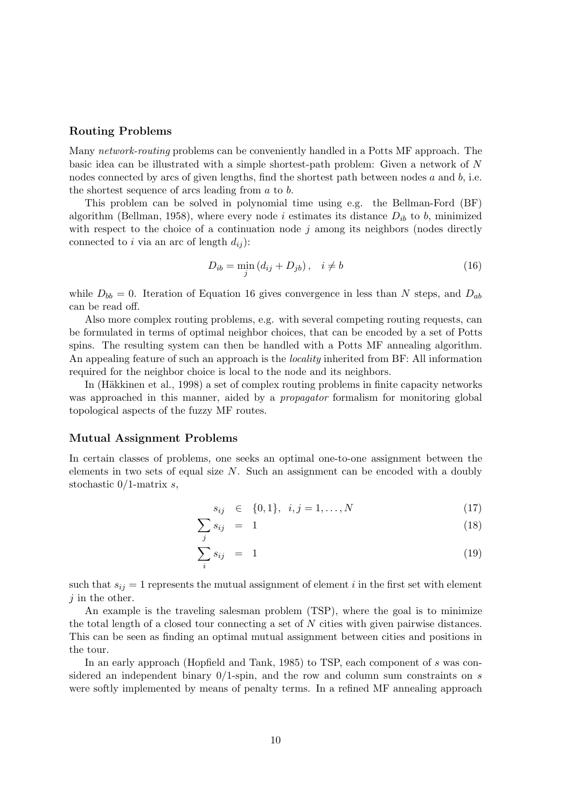### Routing Problems

Many network-routing problems can be conveniently handled in a Potts MF approach. The basic idea can be illustrated with a simple shortest-path problem: Given a network of N nodes connected by arcs of given lengths, find the shortest path between nodes a and b, i.e. the shortest sequence of arcs leading from  $a$  to  $b$ .

This problem can be solved in polynomial time using e.g. the Bellman-Ford (BF) algorithm (Bellman, 1958), where every node i estimates its distance  $D_{ib}$  to b, minimized with respect to the choice of a continuation node  $j$  among its neighbors (nodes directly connected to i via an arc of length  $d_{ij}$ :

$$
D_{ib} = \min_{j} (d_{ij} + D_{jb}), \quad i \neq b \tag{16}
$$

while  $D_{bb} = 0$ . Iteration of Equation 16 gives convergence in less than N steps, and  $D_{ab}$ can be read off.

Also more complex routing problems, e.g. with several competing routing requests, can be formulated in terms of optimal neighbor choices, that can be encoded by a set of Potts spins. The resulting system can then be handled with a Potts MF annealing algorithm. An appealing feature of such an approach is the locality inherited from BF: All information required for the neighbor choice is local to the node and its neighbors.

In (Häkkinen et al., 1998) a set of complex routing problems in finite capacity networks was approached in this manner, aided by a *propagator* formalism for monitoring global topological aspects of the fuzzy MF routes.

#### Mutual Assignment Problems

In certain classes of problems, one seeks an optimal one-to-one assignment between the elements in two sets of equal size  $N$ . Such an assignment can be encoded with a doubly stochastic  $0/1$ -matrix s,

$$
s_{ij} \in \{0, 1\}, \ i, j = 1, \dots, N \tag{17}
$$

$$
\sum s_{ij} = 1 \tag{18}
$$

$$
\sum_{i}^{j} s_{ij} = 1 \tag{19}
$$

such that  $s_{ij} = 1$  represents the mutual assignment of element i in the first set with element  $j$  in the other.

An example is the traveling salesman problem (TSP), where the goal is to minimize the total length of a closed tour connecting a set of N cities with given pairwise distances. This can be seen as finding an optimal mutual assignment between cities and positions in the tour.

In an early approach (Hopfield and Tank, 1985) to TSP, each component of s was considered an independent binary  $0/1$ -spin, and the row and column sum constraints on s were softly implemented by means of penalty terms. In a refined MF annealing approach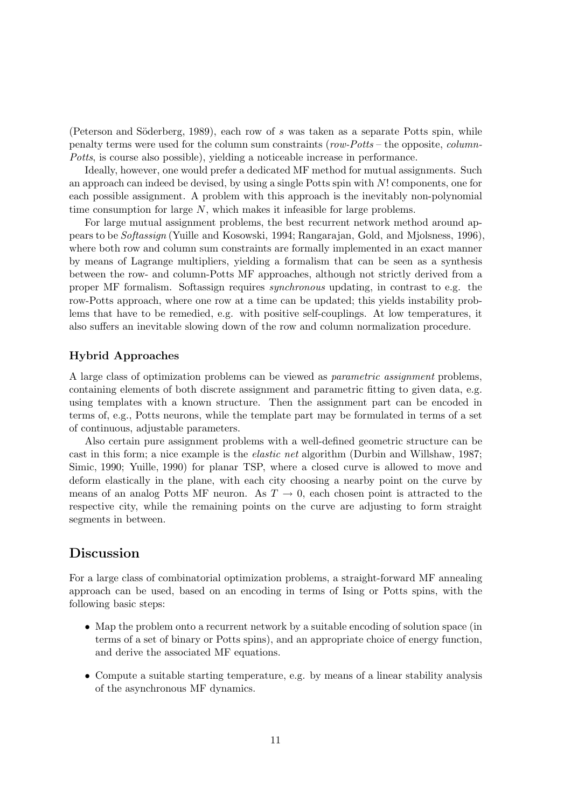(Peterson and Söderberg, 1989), each row of  $s$  was taken as a separate Potts spin, while penalty terms were used for the column sum constraints ( $row-Potts$  – the opposite, *column*-Potts, is course also possible), yielding a noticeable increase in performance.

Ideally, however, one would prefer a dedicated MF method for mutual assignments. Such an approach can indeed be devised, by using a single Potts spin with N! components, one for each possible assignment. A problem with this approach is the inevitably non-polynomial time consumption for large  $N$ , which makes it infeasible for large problems.

For large mutual assignment problems, the best recurrent network method around appears to be Softassign (Yuille and Kosowski, 1994; Rangarajan, Gold, and Mjolsness, 1996), where both row and column sum constraints are formally implemented in an exact manner by means of Lagrange multipliers, yielding a formalism that can be seen as a synthesis between the row- and column-Potts MF approaches, although not strictly derived from a proper MF formalism. Softassign requires synchronous updating, in contrast to e.g. the row-Potts approach, where one row at a time can be updated; this yields instability problems that have to be remedied, e.g. with positive self-couplings. At low temperatures, it also suffers an inevitable slowing down of the row and column normalization procedure.

### Hybrid Approaches

A large class of optimization problems can be viewed as parametric assignment problems, containing elements of both discrete assignment and parametric fitting to given data, e.g. using templates with a known structure. Then the assignment part can be encoded in terms of, e.g., Potts neurons, while the template part may be formulated in terms of a set of continuous, adjustable parameters.

Also certain pure assignment problems with a well-defined geometric structure can be cast in this form; a nice example is the elastic net algorithm (Durbin and Willshaw, 1987; Simic, 1990; Yuille, 1990) for planar TSP, where a closed curve is allowed to move and deform elastically in the plane, with each city choosing a nearby point on the curve by means of an analog Potts MF neuron. As  $T \to 0$ , each chosen point is attracted to the respective city, while the remaining points on the curve are adjusting to form straight segments in between.

## Discussion

For a large class of combinatorial optimization problems, a straight-forward MF annealing approach can be used, based on an encoding in terms of Ising or Potts spins, with the following basic steps:

- Map the problem onto a recurrent network by a suitable encoding of solution space (in terms of a set of binary or Potts spins), and an appropriate choice of energy function, and derive the associated MF equations.
- Compute a suitable starting temperature, e.g. by means of a linear stability analysis of the asynchronous MF dynamics.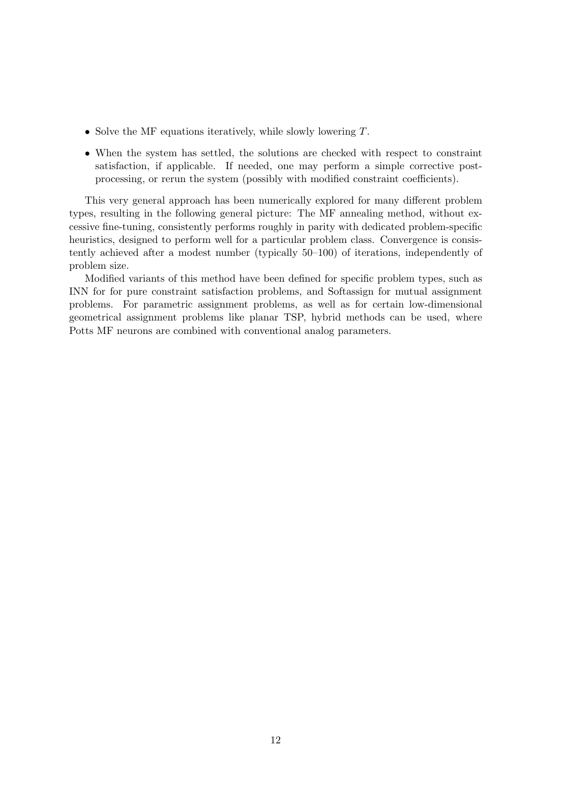- Solve the MF equations iteratively, while slowly lowering  $T$ .
- When the system has settled, the solutions are checked with respect to constraint satisfaction, if applicable. If needed, one may perform a simple corrective postprocessing, or rerun the system (possibly with modified constraint coefficients).

This very general approach has been numerically explored for many different problem types, resulting in the following general picture: The MF annealing method, without excessive fine-tuning, consistently performs roughly in parity with dedicated problem-specific heuristics, designed to perform well for a particular problem class. Convergence is consistently achieved after a modest number (typically 50–100) of iterations, independently of problem size.

Modified variants of this method have been defined for specific problem types, such as INN for for pure constraint satisfaction problems, and Softassign for mutual assignment problems. For parametric assignment problems, as well as for certain low-dimensional geometrical assignment problems like planar TSP, hybrid methods can be used, where Potts MF neurons are combined with conventional analog parameters.